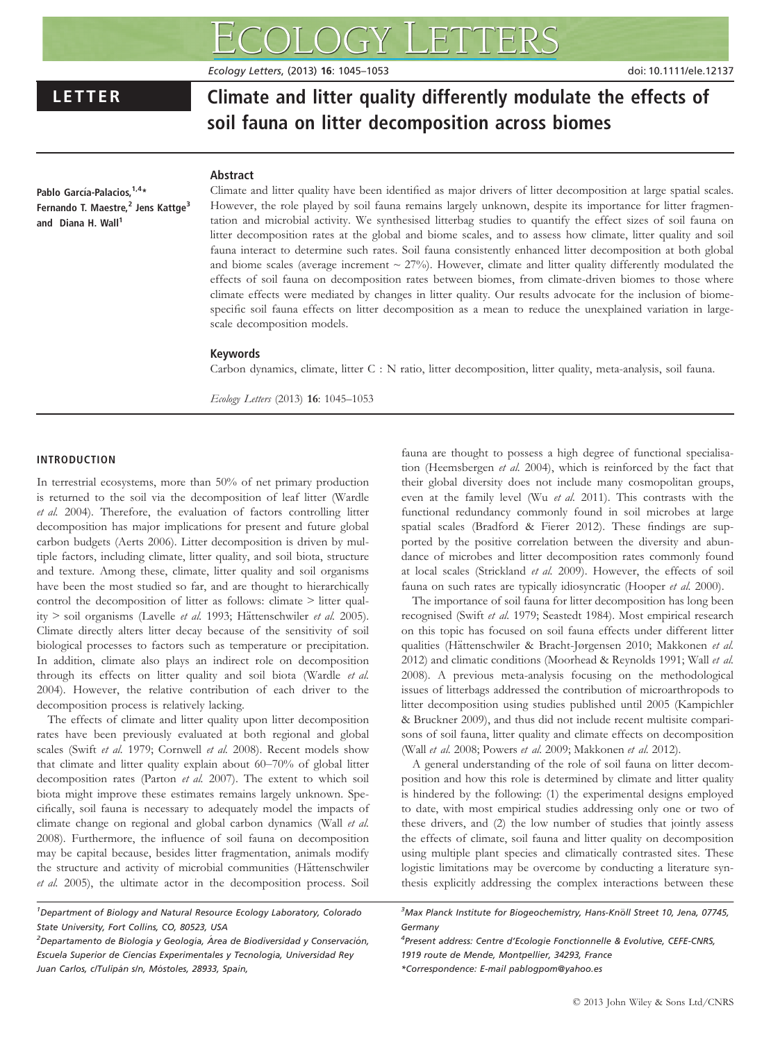Ecology Letters, (2013) 16: 1045–1053 doi: 10.1111/ele.12137

# LETTER Climate and litter quality differently modulate the effects of soil fauna on litter decomposition across biomes

Pablo García-Palacios, 1,4\* Fernando T. Maestre,<sup>2</sup> Jens Kattge<sup>3</sup> and Diana H. Wall<sup>1</sup>

# Abstract

Climate and litter quality have been identified as major drivers of litter decomposition at large spatial scales. However, the role played by soil fauna remains largely unknown, despite its importance for litter fragmentation and microbial activity. We synthesised litterbag studies to quantify the effect sizes of soil fauna on litter decomposition rates at the global and biome scales, and to assess how climate, litter quality and soil fauna interact to determine such rates. Soil fauna consistently enhanced litter decomposition at both global and biome scales (average increment  $\sim$  27%). However, climate and litter quality differently modulated the effects of soil fauna on decomposition rates between biomes, from climate-driven biomes to those where climate effects were mediated by changes in litter quality. Our results advocate for the inclusion of biomespecific soil fauna effects on litter decomposition as a mean to reduce the unexplained variation in largescale decomposition models.

#### Keywords

Carbon dynamics, climate, litter C : N ratio, litter decomposition, litter quality, meta-analysis, soil fauna.

Ecology Letters (2013) 16: 1045–1053

# INTRODUCTION

In terrestrial ecosystems, more than 50% of net primary production is returned to the soil via the decomposition of leaf litter (Wardle et al. 2004). Therefore, the evaluation of factors controlling litter decomposition has major implications for present and future global carbon budgets (Aerts 2006). Litter decomposition is driven by multiple factors, including climate, litter quality, and soil biota, structure and texture. Among these, climate, litter quality and soil organisms have been the most studied so far, and are thought to hierarchically control the decomposition of litter as follows: climate > litter quality > soil organisms (Lavelle et al. 1993; Hättenschwiler et al. 2005). Climate directly alters litter decay because of the sensitivity of soil biological processes to factors such as temperature or precipitation. In addition, climate also plays an indirect role on decomposition through its effects on litter quality and soil biota (Wardle et al. 2004). However, the relative contribution of each driver to the decomposition process is relatively lacking.

The effects of climate and litter quality upon litter decomposition rates have been previously evaluated at both regional and global scales (Swift et al. 1979; Cornwell et al. 2008). Recent models show that climate and litter quality explain about 60–70% of global litter decomposition rates (Parton et al. 2007). The extent to which soil biota might improve these estimates remains largely unknown. Specifically, soil fauna is necessary to adequately model the impacts of climate change on regional and global carbon dynamics (Wall et al. 2008). Furthermore, the influence of soil fauna on decomposition may be capital because, besides litter fragmentation, animals modify the structure and activity of microbial communities (Hättenschwiler et al. 2005), the ultimate actor in the decomposition process. Soil

<sup>1</sup>Department of Biology and Natural Resource Ecology Laboratory, Colorado State University, Fort Collins, CO, 80523, USA

 $^{2}$ Departamento de Biología y Geología, Área de Biodiversidad y Conservación, Escuela Superior de Ciencias Experimentales y Tecnología, Universidad Rey Juan Carlos, c/Tulipán s/n, Móstoles, 28933, Spain,

fauna are thought to possess a high degree of functional specialisation (Heemsbergen et al. 2004), which is reinforced by the fact that their global diversity does not include many cosmopolitan groups, even at the family level (Wu et al. 2011). This contrasts with the functional redundancy commonly found in soil microbes at large spatial scales (Bradford & Fierer 2012). These findings are supported by the positive correlation between the diversity and abundance of microbes and litter decomposition rates commonly found at local scales (Strickland et al. 2009). However, the effects of soil fauna on such rates are typically idiosyncratic (Hooper et al. 2000).

The importance of soil fauna for litter decomposition has long been recognised (Swift et al. 1979; Seastedt 1984). Most empirical research on this topic has focused on soil fauna effects under different litter qualities (Hättenschwiler & Bracht-Jørgensen 2010; Makkonen et al. 2012) and climatic conditions (Moorhead & Reynolds 1991; Wall et al. 2008). A previous meta-analysis focusing on the methodological issues of litterbags addressed the contribution of microarthropods to litter decomposition using studies published until 2005 (Kampichler & Bruckner 2009), and thus did not include recent multisite comparisons of soil fauna, litter quality and climate effects on decomposition (Wall et al. 2008; Powers et al. 2009; Makkonen et al. 2012).

A general understanding of the role of soil fauna on litter decomposition and how this role is determined by climate and litter quality is hindered by the following: (1) the experimental designs employed to date, with most empirical studies addressing only one or two of these drivers, and (2) the low number of studies that jointly assess the effects of climate, soil fauna and litter quality on decomposition using multiple plant species and climatically contrasted sites. These logistic limitations may be overcome by conducting a literature synthesis explicitly addressing the complex interactions between these

<sup>4</sup>Present address: Centre d'Ecologie Fonctionnelle & Evolutive, CEFE-CNRS, 1919 route de Mende, Montpellier, 34293, France \*Correspondence: E-mail pablogpom@yahoo.es

<sup>&</sup>lt;sup>3</sup>Max Planck Institute for Biogeochemistry, Hans-Knöll Street 10, Jena, 07745, Germany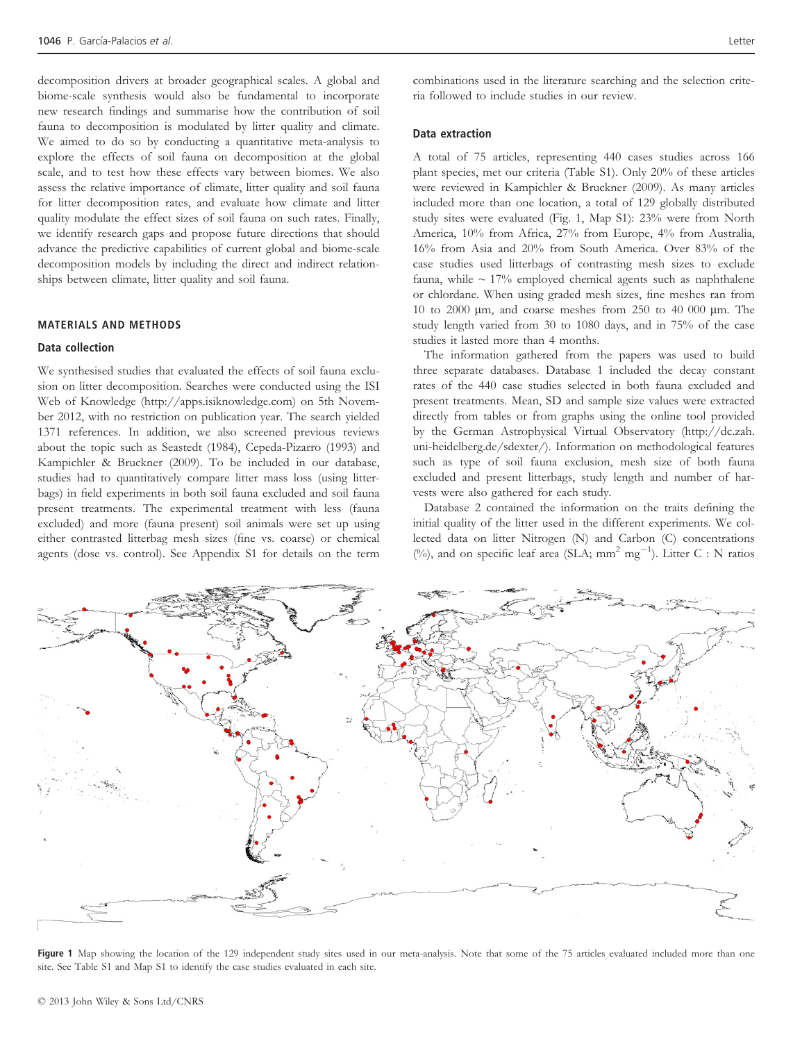decomposition drivers at broader geographical scales. A global and biome-scale synthesis would also be fundamental to incorporate new research findings and summarise how the contribution of soil fauna to decomposition is modulated by litter quality and climate. We aimed to do so by conducting a quantitative meta-analysis to explore the effects of soil fauna on decomposition at the global scale, and to test how these effects vary between biomes. We also assess the relative importance of climate, litter quality and soil fauna for litter decomposition rates, and evaluate how climate and litter quality modulate the effect sizes of soil fauna on such rates. Finally, we identify research gaps and propose future directions that should advance the predictive capabilities of current global and biome-scale decomposition models by including the direct and indirect relationships between climate, litter quality and soil fauna.

# MATERIALS AND METHODS

# Data collection

We synthesised studies that evaluated the effects of soil fauna exclusion on litter decomposition. Searches were conducted using the ISI Web of Knowledge (http://apps.isiknowledge.com) on 5th November 2012, with no restriction on publication year. The search yielded 1371 references. In addition, we also screened previous reviews about the topic such as Seastedt (1984), Cepeda-Pizarro (1993) and Kampichler & Bruckner (2009). To be included in our database, studies had to quantitatively compare litter mass loss (using litterbags) in field experiments in both soil fauna excluded and soil fauna present treatments. The experimental treatment with less (fauna excluded) and more (fauna present) soil animals were set up using either contrasted litterbag mesh sizes (fine vs. coarse) or chemical agents (dose vs. control). See Appendix S1 for details on the term

combinations used in the literature searching and the selection criteria followed to include studies in our review.

# Data extraction

A total of 75 articles, representing 440 cases studies across 166 plant species, met our criteria (Table S1). Only 20% of these articles were reviewed in Kampichler & Bruckner (2009). As many articles included more than one location, a total of 129 globally distributed study sites were evaluated (Fig. 1, Map S1): 23% were from North America, 10% from Africa, 27% from Europe, 4% from Australia, 16% from Asia and 20% from South America. Over 83% of the case studies used litterbags of contrasting mesh sizes to exclude fauna, while  $\sim 17\%$  employed chemical agents such as naphthalene or chlordane. When using graded mesh sizes, fine meshes ran from 10 to 2000 lm, and coarse meshes from 250 to 40 000 lm. The study length varied from 30 to 1080 days, and in 75% of the case studies it lasted more than 4 months.

The information gathered from the papers was used to build three separate databases. Database 1 included the decay constant rates of the 440 case studies selected in both fauna excluded and present treatments. Mean, SD and sample size values were extracted directly from tables or from graphs using the online tool provided by the German Astrophysical Virtual Observatory (http://dc.zah. uni-heidelberg.de/sdexter/). Information on methodological features such as type of soil fauna exclusion, mesh size of both fauna excluded and present litterbags, study length and number of harvests were also gathered for each study.

Database 2 contained the information on the traits defining the initial quality of the litter used in the different experiments. We collected data on litter Nitrogen (N) and Carbon (C) concentrations (%), and on specific leaf area (SLA;  $mm^2$   $mg^{-1}$ ). Litter C : N ratios



Figure 1 Map showing the location of the 129 independent study sites used in our meta-analysis. Note that some of the 75 articles evaluated included more than one site. See Table S1 and Map S1 to identify the case studies evaluated in each site.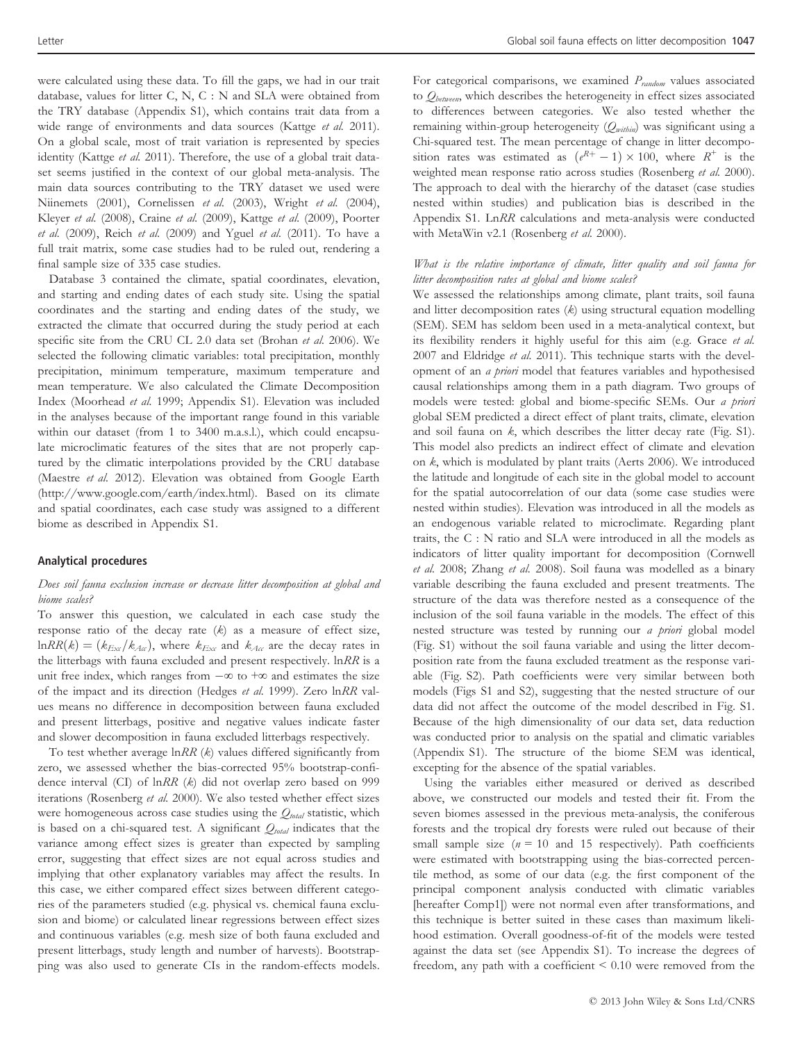were calculated using these data. To fill the gaps, we had in our trait database, values for litter C, N, C : N and SLA were obtained from the TRY database (Appendix S1), which contains trait data from a wide range of environments and data sources (Kattge et al. 2011). On a global scale, most of trait variation is represented by species identity (Kattge et al. 2011). Therefore, the use of a global trait dataset seems justified in the context of our global meta-analysis. The main data sources contributing to the TRY dataset we used were Niinemets (2001), Cornelissen et al. (2003), Wright et al. (2004), Kleyer et al. (2008), Craine et al. (2009), Kattge et al. (2009), Poorter et al.  $(2009)$ , Reich et al.  $(2009)$  and Yguel et al.  $(2011)$ . To have a full trait matrix, some case studies had to be ruled out, rendering a final sample size of 335 case studies.

Database 3 contained the climate, spatial coordinates, elevation, and starting and ending dates of each study site. Using the spatial coordinates and the starting and ending dates of the study, we extracted the climate that occurred during the study period at each specific site from the CRU CL 2.0 data set (Brohan et al. 2006). We selected the following climatic variables: total precipitation, monthly precipitation, minimum temperature, maximum temperature and mean temperature. We also calculated the Climate Decomposition Index (Moorhead et al. 1999; Appendix S1). Elevation was included in the analyses because of the important range found in this variable within our dataset (from 1 to 3400 m.a.s.l.), which could encapsulate microclimatic features of the sites that are not properly captured by the climatic interpolations provided by the CRU database (Maestre et al. 2012). Elevation was obtained from Google Earth (http://www.google.com/earth/index.html). Based on its climate and spatial coordinates, each case study was assigned to a different biome as described in Appendix S1.

#### Analytical procedures

# Does soil fauna exclusion increase or decrease litter decomposition at global and biome scales?

To answer this question, we calculated in each case study the response ratio of the decay rate  $(k)$  as a measure of effect size,  $lnRR(k) = (k_{Ex}/k_{Ax})$ , where  $k_{Exc}$  and  $k_{Ax}$  are the decay rates in the litterbags with fauna excluded and present respectively. lnRR is a unit free index, which ranges from  $-\infty$  to  $+\infty$  and estimates the size of the impact and its direction (Hedges et al. 1999). Zero lnRR values means no difference in decomposition between fauna excluded and present litterbags, positive and negative values indicate faster and slower decomposition in fauna excluded litterbags respectively.

To test whether average  $\ln RR$  ( $k$ ) values differed significantly from zero, we assessed whether the bias-corrected 95% bootstrap-confidence interval (CI) of lnRR (k) did not overlap zero based on 999 iterations (Rosenberg et al. 2000). We also tested whether effect sizes were homogeneous across case studies using the  $Q_{total}$  statistic, which is based on a chi-squared test. A significant  $Q_{total}$  indicates that the variance among effect sizes is greater than expected by sampling error, suggesting that effect sizes are not equal across studies and implying that other explanatory variables may affect the results. In this case, we either compared effect sizes between different categories of the parameters studied (e.g. physical vs. chemical fauna exclusion and biome) or calculated linear regressions between effect sizes and continuous variables (e.g. mesh size of both fauna excluded and present litterbags, study length and number of harvests). Bootstrapping was also used to generate CIs in the random-effects models.

For categorical comparisons, we examined  $P_{random}$  values associated to  $Q_{between}$ , which describes the heterogeneity in effect sizes associated to differences between categories. We also tested whether the remaining within-group heterogeneity  $(Q_{within})$  was significant using a Chi-squared test. The mean percentage of change in litter decomposition rates was estimated as  $(e^{R+}-1) \times 100$ , where  $R^+$  is the weighted mean response ratio across studies (Rosenberg et al. 2000). The approach to deal with the hierarchy of the dataset (case studies nested within studies) and publication bias is described in the Appendix S1. LnRR calculations and meta-analysis were conducted with MetaWin v2.1 (Rosenberg et al. 2000).

# What is the relative importance of climate, litter quality and soil fauna for litter decomposition rates at global and biome scales?

We assessed the relationships among climate, plant traits, soil fauna and litter decomposition rates  $(k)$  using structural equation modelling (SEM). SEM has seldom been used in a meta-analytical context, but its flexibility renders it highly useful for this aim (e.g. Grace et al. 2007 and Eldridge et al. 2011). This technique starts with the development of an a priori model that features variables and hypothesised causal relationships among them in a path diagram. Two groups of models were tested: global and biome-specific SEMs. Our a priori global SEM predicted a direct effect of plant traits, climate, elevation and soil fauna on k, which describes the litter decay rate (Fig. S1). This model also predicts an indirect effect of climate and elevation on k, which is modulated by plant traits (Aerts 2006). We introduced the latitude and longitude of each site in the global model to account for the spatial autocorrelation of our data (some case studies were nested within studies). Elevation was introduced in all the models as an endogenous variable related to microclimate. Regarding plant traits, the C : N ratio and SLA were introduced in all the models as indicators of litter quality important for decomposition (Cornwell et al. 2008; Zhang et al. 2008). Soil fauna was modelled as a binary variable describing the fauna excluded and present treatments. The structure of the data was therefore nested as a consequence of the inclusion of the soil fauna variable in the models. The effect of this nested structure was tested by running our a priori global model (Fig. S1) without the soil fauna variable and using the litter decomposition rate from the fauna excluded treatment as the response variable (Fig. S2). Path coefficients were very similar between both models (Figs S1 and S2), suggesting that the nested structure of our data did not affect the outcome of the model described in Fig. S1. Because of the high dimensionality of our data set, data reduction was conducted prior to analysis on the spatial and climatic variables (Appendix S1). The structure of the biome SEM was identical, excepting for the absence of the spatial variables.

Using the variables either measured or derived as described above, we constructed our models and tested their fit. From the seven biomes assessed in the previous meta-analysis, the coniferous forests and the tropical dry forests were ruled out because of their small sample size ( $n = 10$  and 15 respectively). Path coefficients were estimated with bootstrapping using the bias-corrected percentile method, as some of our data (e.g. the first component of the principal component analysis conducted with climatic variables [hereafter Comp1]) were not normal even after transformations, and this technique is better suited in these cases than maximum likelihood estimation. Overall goodness-of-fit of the models were tested against the data set (see Appendix S1). To increase the degrees of freedom, any path with a coefficient  $\leq 0.10$  were removed from the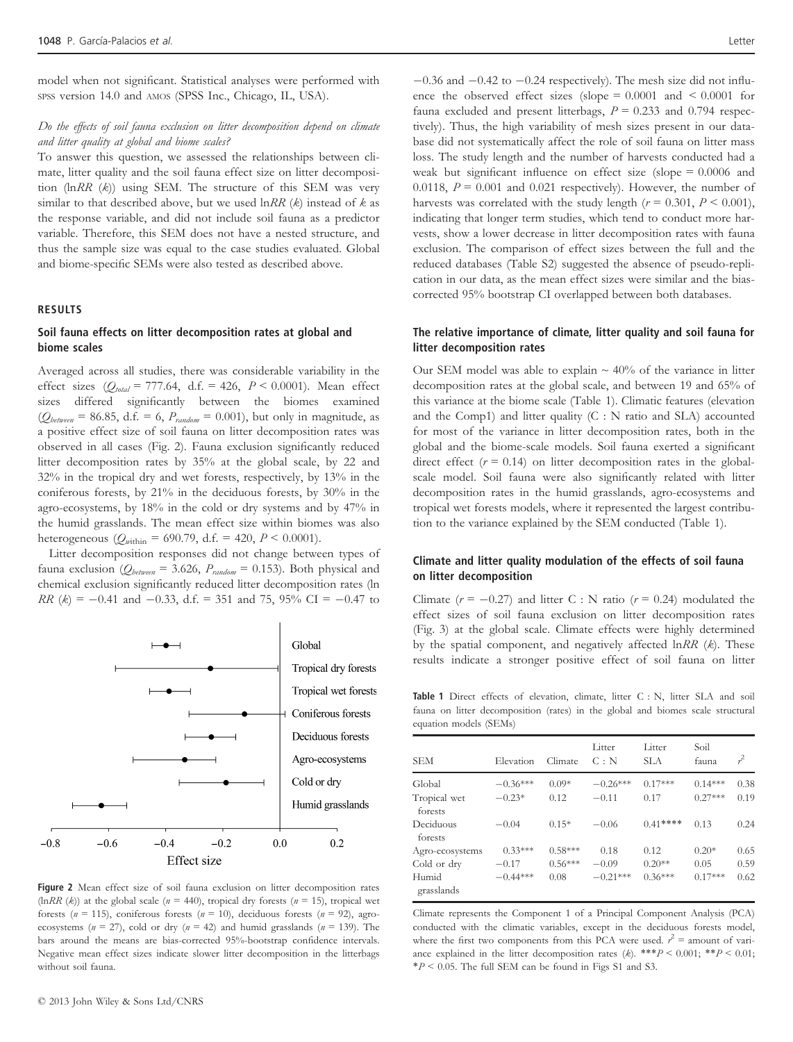model when not significant. Statistical analyses were performed with SPSS version 14.0 and AMOS (SPSS Inc., Chicago, IL, USA).

#### Do the effects of soil fauna exclusion on litter decomposition depend on climate and litter quality at global and biome scales?

To answer this question, we assessed the relationships between climate, litter quality and the soil fauna effect size on litter decomposition  $(\ln RR \ (k))$  using SEM. The structure of this SEM was very similar to that described above, but we used  $\ln RR$  ( $k$ ) instead of  $k$  as the response variable, and did not include soil fauna as a predictor variable. Therefore, this SEM does not have a nested structure, and thus the sample size was equal to the case studies evaluated. Global and biome-specific SEMs were also tested as described above.

#### RESULTS

# Soil fauna effects on litter decomposition rates at global and biome scales

Averaged across all studies, there was considerable variability in the effect sizes  $(Q_{total} = 777.64, d.f. = 426, P < 0.0001)$ . Mean effect sizes differed significantly between the biomes examined  $(Q_{between} = 86.85, d.f. = 6, P_{random} = 0.001)$ , but only in magnitude, as a positive effect size of soil fauna on litter decomposition rates was observed in all cases (Fig. 2). Fauna exclusion significantly reduced litter decomposition rates by 35% at the global scale, by 22 and 32% in the tropical dry and wet forests, respectively, by 13% in the coniferous forests, by 21% in the deciduous forests, by 30% in the agro-ecosystems, by 18% in the cold or dry systems and by 47% in the humid grasslands. The mean effect size within biomes was also heterogeneous ( $Q_{within}$  = 690.79, d.f. = 420,  $P < 0.0001$ ).

Litter decomposition responses did not change between types of fauna exclusion ( $Q_{between}$  = 3.626,  $P_{random}$  = 0.153). Both physical and chemical exclusion significantly reduced litter decomposition rates (ln  $RR$  (k) = -0.41 and -0.33, d.f. = 351 and 75, 95% CI = -0.47 to



Figure 2 Mean effect size of soil fauna exclusion on litter decomposition rates (lnRR (k)) at the global scale ( $n = 440$ ), tropical dry forests ( $n = 15$ ), tropical wet forests ( $n = 115$ ), coniferous forests ( $n = 10$ ), deciduous forests ( $n = 92$ ), agroecosystems ( $n = 27$ ), cold or dry ( $n = 42$ ) and humid grasslands ( $n = 139$ ). The bars around the means are bias-corrected 95%-bootstrap confidence intervals. Negative mean effect sizes indicate slower litter decomposition in the litterbags without soil fauna.

 $-0.36$  and  $-0.42$  to  $-0.24$  respectively). The mesh size did not influence the observed effect sizes (slope  $= 0.0001$  and  $\le 0.0001$  for fauna excluded and present litterbags,  $P = 0.233$  and 0.794 respectively). Thus, the high variability of mesh sizes present in our database did not systematically affect the role of soil fauna on litter mass loss. The study length and the number of harvests conducted had a weak but significant influence on effect size (slope = 0.0006 and 0.0118,  $P = 0.001$  and 0.021 respectively). However, the number of harvests was correlated with the study length ( $r = 0.301$ ,  $P \le 0.001$ ), indicating that longer term studies, which tend to conduct more harvests, show a lower decrease in litter decomposition rates with fauna exclusion. The comparison of effect sizes between the full and the reduced databases (Table S2) suggested the absence of pseudo-replication in our data, as the mean effect sizes were similar and the biascorrected 95% bootstrap CI overlapped between both databases.

# The relative importance of climate, litter quality and soil fauna for litter decomposition rates

Our SEM model was able to explain  $\sim$  40% of the variance in litter decomposition rates at the global scale, and between 19 and 65% of this variance at the biome scale (Table 1). Climatic features (elevation and the Comp1) and litter quality (C : N ratio and SLA) accounted for most of the variance in litter decomposition rates, both in the global and the biome-scale models. Soil fauna exerted a significant direct effect  $(r = 0.14)$  on litter decomposition rates in the globalscale model. Soil fauna were also significantly related with litter decomposition rates in the humid grasslands, agro-ecosystems and tropical wet forests models, where it represented the largest contribution to the variance explained by the SEM conducted (Table 1).

# Climate and litter quality modulation of the effects of soil fauna on litter decomposition

Climate  $(r = -0.27)$  and litter C : N ratio  $(r = 0.24)$  modulated the effect sizes of soil fauna exclusion on litter decomposition rates (Fig. 3) at the global scale. Climate effects were highly determined by the spatial component, and negatively affected  $\ln RR$  ( $k$ ). These results indicate a stronger positive effect of soil fauna on litter

Table 1 Direct effects of elevation, climate, litter C : N, litter SLA and soil fauna on litter decomposition (rates) in the global and biomes scale structural equation models (SEMs)

| <b>SEM</b>              | Elevation  | Climate   | Litter<br>C: N | Litter<br>SLA. | Soil<br>fauna | $\mathcal{L}$ |
|-------------------------|------------|-----------|----------------|----------------|---------------|---------------|
| Global                  | $-0.36***$ | $0.09*$   | $-0.26***$     | $0.17***$      | $0.14***$     | 0.38          |
| Tropical wet<br>forests | $-0.23*$   | 0.12      | $-0.11$        | 0.17           | $0.27***$     | 0.19          |
| Deciduous<br>forests    | $-0.04$    | $0.15*$   | $-0.06$        | $0.41***$      | 0.13          | 0.24          |
| Agro-ecosystems         | $0.33***$  | $0.58***$ | 0.18           | 0.12           | $0.20*$       | 0.65          |
| Cold or dry             | $-0.17$    | $0.56***$ | $-0.09$        | $0.20**$       | 0.05          | 0.59          |
| Humid<br>grasslands     | $-0.44***$ | 0.08      | $-0.21***$     | $0.36***$      | $0.17***$     | 0.62          |

Climate represents the Component 1 of a Principal Component Analysis (PCA) conducted with the climatic variables, except in the deciduous forests model, where the first two components from this PCA were used.  $r^2$  = amount of variance explained in the litter decomposition rates (k). \*\*\*  $P < 0.001$ ; \*\*  $P < 0.01$ ;  $*P < 0.05$ . The full SEM can be found in Figs S1 and S3.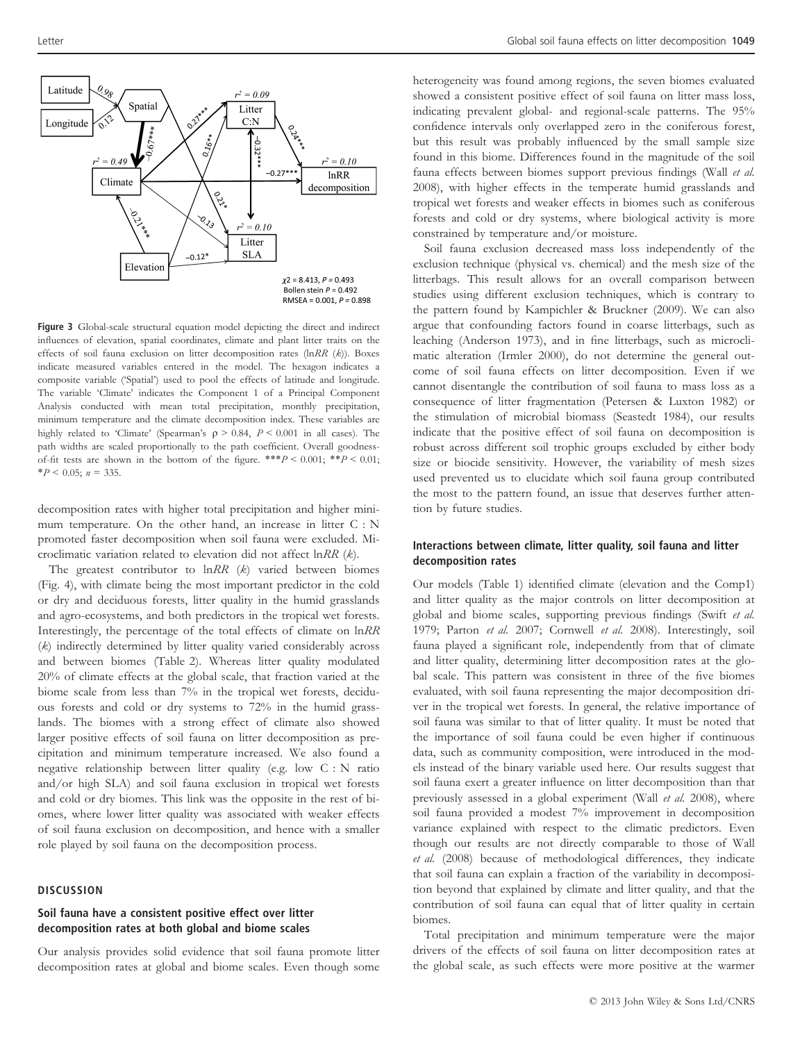

Figure 3 Global-scale structural equation model depicting the direct and indirect influences of elevation, spatial coordinates, climate and plant litter traits on the effects of soil fauna exclusion on litter decomposition rates (lnRR (k)). Boxes indicate measured variables entered in the model. The hexagon indicates a composite variable ('Spatial') used to pool the effects of latitude and longitude. The variable 'Climate' indicates the Component 1 of a Principal Component Analysis conducted with mean total precipitation, monthly precipitation, minimum temperature and the climate decomposition index. These variables are highly related to 'Climate' (Spearman's  $\rho > 0.84$ ,  $P < 0.001$  in all cases). The path widths are scaled proportionally to the path coefficient. Overall goodnessof-fit tests are shown in the bottom of the figure. \*\*\* $P < 0.001$ ; \*\* $P < 0.01$ ;  $*P < 0.05$ ;  $n = 335$ .

decomposition rates with higher total precipitation and higher minimum temperature. On the other hand, an increase in litter C : N promoted faster decomposition when soil fauna were excluded. Microclimatic variation related to elevation did not affect lnRR (k).

The greatest contributor to  $lnRR$  (k) varied between biomes (Fig. 4), with climate being the most important predictor in the cold or dry and deciduous forests, litter quality in the humid grasslands and agro-ecosystems, and both predictors in the tropical wet forests. Interestingly, the percentage of the total effects of climate on lnRR (k) indirectly determined by litter quality varied considerably across and between biomes (Table 2). Whereas litter quality modulated 20% of climate effects at the global scale, that fraction varied at the biome scale from less than 7% in the tropical wet forests, deciduous forests and cold or dry systems to 72% in the humid grasslands. The biomes with a strong effect of climate also showed larger positive effects of soil fauna on litter decomposition as precipitation and minimum temperature increased. We also found a negative relationship between litter quality (e.g. low C : N ratio and/or high SLA) and soil fauna exclusion in tropical wet forests and cold or dry biomes. This link was the opposite in the rest of biomes, where lower litter quality was associated with weaker effects of soil fauna exclusion on decomposition, and hence with a smaller role played by soil fauna on the decomposition process.

#### **DISCUSSION**

# Soil fauna have a consistent positive effect over litter decomposition rates at both global and biome scales

Our analysis provides solid evidence that soil fauna promote litter decomposition rates at global and biome scales. Even though some

heterogeneity was found among regions, the seven biomes evaluated showed a consistent positive effect of soil fauna on litter mass loss, indicating prevalent global- and regional-scale patterns. The 95% confidence intervals only overlapped zero in the coniferous forest, but this result was probably influenced by the small sample size found in this biome. Differences found in the magnitude of the soil fauna effects between biomes support previous findings (Wall et al. 2008), with higher effects in the temperate humid grasslands and tropical wet forests and weaker effects in biomes such as coniferous forests and cold or dry systems, where biological activity is more constrained by temperature and/or moisture.

Soil fauna exclusion decreased mass loss independently of the exclusion technique (physical vs. chemical) and the mesh size of the litterbags. This result allows for an overall comparison between studies using different exclusion techniques, which is contrary to the pattern found by Kampichler & Bruckner (2009). We can also argue that confounding factors found in coarse litterbags, such as leaching (Anderson 1973), and in fine litterbags, such as microclimatic alteration (Irmler 2000), do not determine the general outcome of soil fauna effects on litter decomposition. Even if we cannot disentangle the contribution of soil fauna to mass loss as a consequence of litter fragmentation (Petersen & Luxton 1982) or the stimulation of microbial biomass (Seastedt 1984), our results indicate that the positive effect of soil fauna on decomposition is robust across different soil trophic groups excluded by either body size or biocide sensitivity. However, the variability of mesh sizes used prevented us to elucidate which soil fauna group contributed the most to the pattern found, an issue that deserves further attention by future studies.

## Interactions between climate, litter quality, soil fauna and litter decomposition rates

Our models (Table 1) identified climate (elevation and the Comp1) and litter quality as the major controls on litter decomposition at global and biome scales, supporting previous findings (Swift et al. 1979; Parton et al. 2007; Cornwell et al. 2008). Interestingly, soil fauna played a significant role, independently from that of climate and litter quality, determining litter decomposition rates at the global scale. This pattern was consistent in three of the five biomes evaluated, with soil fauna representing the major decomposition driver in the tropical wet forests. In general, the relative importance of soil fauna was similar to that of litter quality. It must be noted that the importance of soil fauna could be even higher if continuous data, such as community composition, were introduced in the models instead of the binary variable used here. Our results suggest that soil fauna exert a greater influence on litter decomposition than that previously assessed in a global experiment (Wall et al. 2008), where soil fauna provided a modest 7% improvement in decomposition variance explained with respect to the climatic predictors. Even though our results are not directly comparable to those of Wall et al. (2008) because of methodological differences, they indicate that soil fauna can explain a fraction of the variability in decomposition beyond that explained by climate and litter quality, and that the contribution of soil fauna can equal that of litter quality in certain biomes.

Total precipitation and minimum temperature were the major drivers of the effects of soil fauna on litter decomposition rates at the global scale, as such effects were more positive at the warmer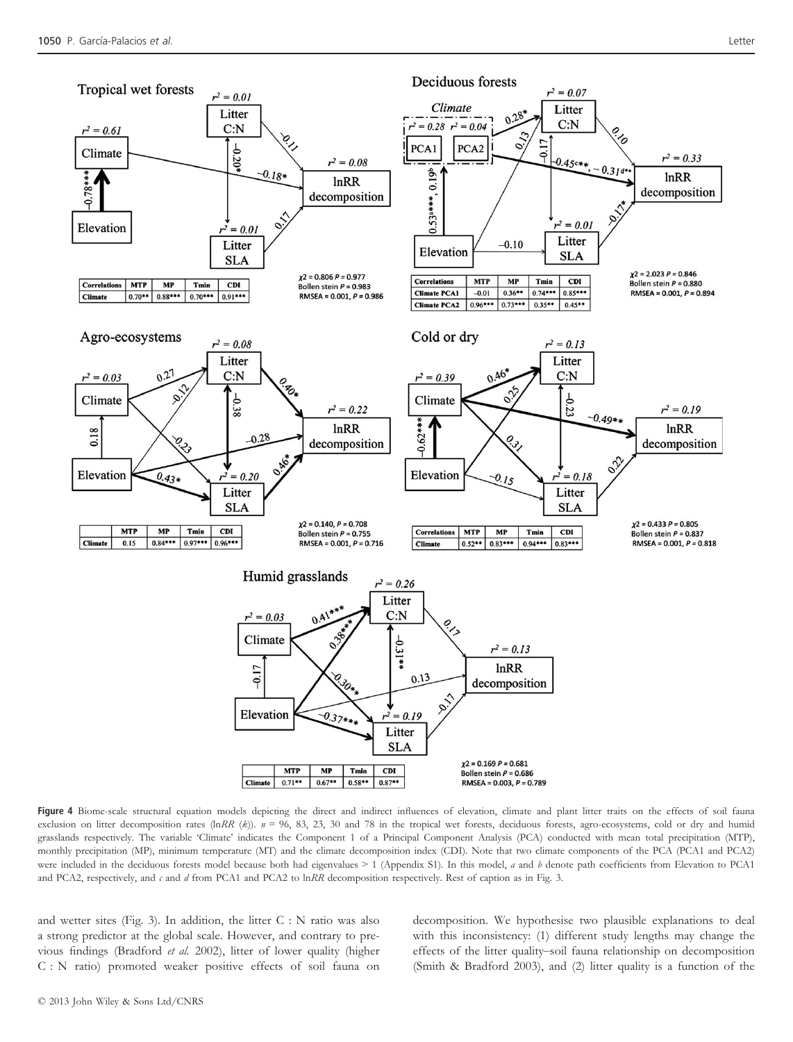

Figure 4 Biome-scale structural equation models depicting the direct and indirect influences of elevation, climate and plant litter traits on the effects of soil fauna exclusion on litter decomposition rates (lnRR (k)).  $n = 96$ , 83, 23, 30 and 78 in the tropical wet forests, deciduous forests, agro-ecosystems, cold or dry and humid grasslands respectively. The variable 'Climate' indicates the Component 1 of a Principal Component Analysis (PCA) conducted with mean total precipitation (MTP), monthly precipitation (MP), minimum temperature (MT) and the climate decomposition index (CDI). Note that two climate components of the PCA (PCA1 and PCA2) were included in the deciduous forests model because both had eigenvalues  $> 1$  (Appendix S1). In this model, a and b denote path coefficients from Elevation to PCA1 and PCA2, respectively, and  $c$  and  $d$  from PCA1 and PCA2 to lnRR decomposition respectively. Rest of caption as in Fig. 3.

and wetter sites (Fig. 3). In addition, the litter C : N ratio was also a strong predictor at the global scale. However, and contrary to previous findings (Bradford et al. 2002), litter of lower quality (higher C : N ratio) promoted weaker positive effects of soil fauna on decomposition. We hypothesise two plausible explanations to deal with this inconsistency: (1) different study lengths may change the effects of the litter quality–soil fauna relationship on decomposition (Smith & Bradford 2003), and (2) litter quality is a function of the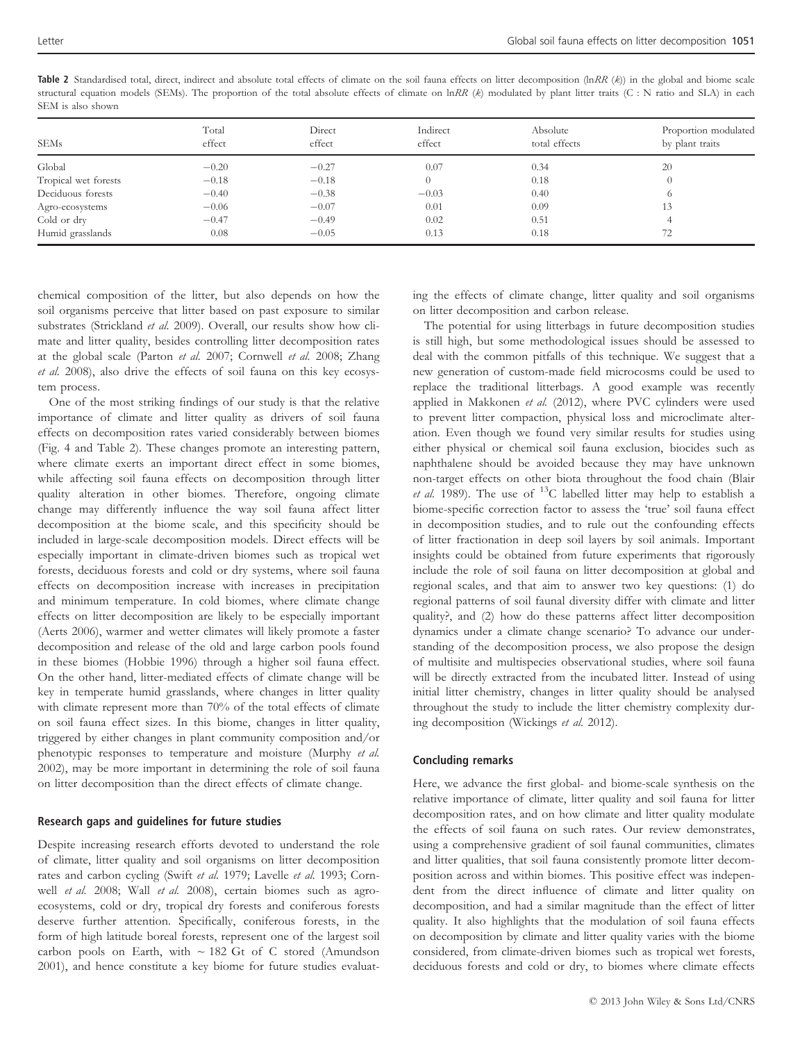| SEM is also shown    |                 |                  |                    |                           |                                         |  |  |  |
|----------------------|-----------------|------------------|--------------------|---------------------------|-----------------------------------------|--|--|--|
| <b>SEMs</b>          | Total<br>effect | Direct<br>effect | Indirect<br>effect | Absolute<br>total effects | Proportion modulated<br>by plant traits |  |  |  |
| Global               | $-0.20$         | $-0.27$          | 0.07               | 0.34                      | 20                                      |  |  |  |
| Tropical wet forests | $-0.18$         | $-0.18$          |                    | 0.18                      |                                         |  |  |  |
| Deciduous forests    | $-0.40$         | $-0.38$          | $-0.03$            | 0.40                      | $\circ$                                 |  |  |  |
| Agro-ecosystems      | $-0.06$         | $-0.07$          | 0.01               | 0.09                      | 13                                      |  |  |  |

Cold or dry  $-0.47$   $-0.49$  0.02 0.51  $0.51$  4 Humid grasslands 0.08 0.05 0.13 0.18 72

Table 2 Standardised total, direct, indirect and absolute total effects of climate on the soil fauna effects on litter decomposition (lnRR  $(k)$ ) in the global and biome scale structural equation models (SEMs). The proportion of the total absolute effects of climate on lnRR ( $k$ ) modulated by plant litter traits (C : N ratio and SLA) in each

chemical composition of the litter, but also depends on how the soil organisms perceive that litter based on past exposure to similar substrates (Strickland et al. 2009). Overall, our results show how climate and litter quality, besides controlling litter decomposition rates at the global scale (Parton et al. 2007; Cornwell et al. 2008; Zhang et al. 2008), also drive the effects of soil fauna on this key ecosystem process.

One of the most striking findings of our study is that the relative importance of climate and litter quality as drivers of soil fauna effects on decomposition rates varied considerably between biomes (Fig. 4 and Table 2). These changes promote an interesting pattern, where climate exerts an important direct effect in some biomes, while affecting soil fauna effects on decomposition through litter quality alteration in other biomes. Therefore, ongoing climate change may differently influence the way soil fauna affect litter decomposition at the biome scale, and this specificity should be included in large-scale decomposition models. Direct effects will be especially important in climate-driven biomes such as tropical wet forests, deciduous forests and cold or dry systems, where soil fauna effects on decomposition increase with increases in precipitation and minimum temperature. In cold biomes, where climate change effects on litter decomposition are likely to be especially important (Aerts 2006), warmer and wetter climates will likely promote a faster decomposition and release of the old and large carbon pools found in these biomes (Hobbie 1996) through a higher soil fauna effect. On the other hand, litter-mediated effects of climate change will be key in temperate humid grasslands, where changes in litter quality with climate represent more than 70% of the total effects of climate on soil fauna effect sizes. In this biome, changes in litter quality, triggered by either changes in plant community composition and/or phenotypic responses to temperature and moisture (Murphy et al. 2002), may be more important in determining the role of soil fauna on litter decomposition than the direct effects of climate change.

#### Research gaps and guidelines for future studies

Despite increasing research efforts devoted to understand the role of climate, litter quality and soil organisms on litter decomposition rates and carbon cycling (Swift et al. 1979; Lavelle et al. 1993; Cornwell et al. 2008; Wall et al. 2008), certain biomes such as agroecosystems, cold or dry, tropical dry forests and coniferous forests deserve further attention. Specifically, coniferous forests, in the form of high latitude boreal forests, represent one of the largest soil carbon pools on Earth, with  $\sim$  182 Gt of C stored (Amundson 2001), and hence constitute a key biome for future studies evaluating the effects of climate change, litter quality and soil organisms on litter decomposition and carbon release.

The potential for using litterbags in future decomposition studies is still high, but some methodological issues should be assessed to deal with the common pitfalls of this technique. We suggest that a new generation of custom-made field microcosms could be used to replace the traditional litterbags. A good example was recently applied in Makkonen et al. (2012), where PVC cylinders were used to prevent litter compaction, physical loss and microclimate alteration. Even though we found very similar results for studies using either physical or chemical soil fauna exclusion, biocides such as naphthalene should be avoided because they may have unknown non-target effects on other biota throughout the food chain (Blair et al. 1989). The use of  $^{13}$ C labelled litter may help to establish a biome-specific correction factor to assess the 'true' soil fauna effect in decomposition studies, and to rule out the confounding effects of litter fractionation in deep soil layers by soil animals. Important insights could be obtained from future experiments that rigorously include the role of soil fauna on litter decomposition at global and regional scales, and that aim to answer two key questions: (1) do regional patterns of soil faunal diversity differ with climate and litter quality?, and (2) how do these patterns affect litter decomposition dynamics under a climate change scenario? To advance our understanding of the decomposition process, we also propose the design of multisite and multispecies observational studies, where soil fauna will be directly extracted from the incubated litter. Instead of using initial litter chemistry, changes in litter quality should be analysed throughout the study to include the litter chemistry complexity during decomposition (Wickings et al. 2012).

# Concluding remarks

Here, we advance the first global- and biome-scale synthesis on the relative importance of climate, litter quality and soil fauna for litter decomposition rates, and on how climate and litter quality modulate the effects of soil fauna on such rates. Our review demonstrates, using a comprehensive gradient of soil faunal communities, climates and litter qualities, that soil fauna consistently promote litter decomposition across and within biomes. This positive effect was independent from the direct influence of climate and litter quality on decomposition, and had a similar magnitude than the effect of litter quality. It also highlights that the modulation of soil fauna effects on decomposition by climate and litter quality varies with the biome considered, from climate-driven biomes such as tropical wet forests, deciduous forests and cold or dry, to biomes where climate effects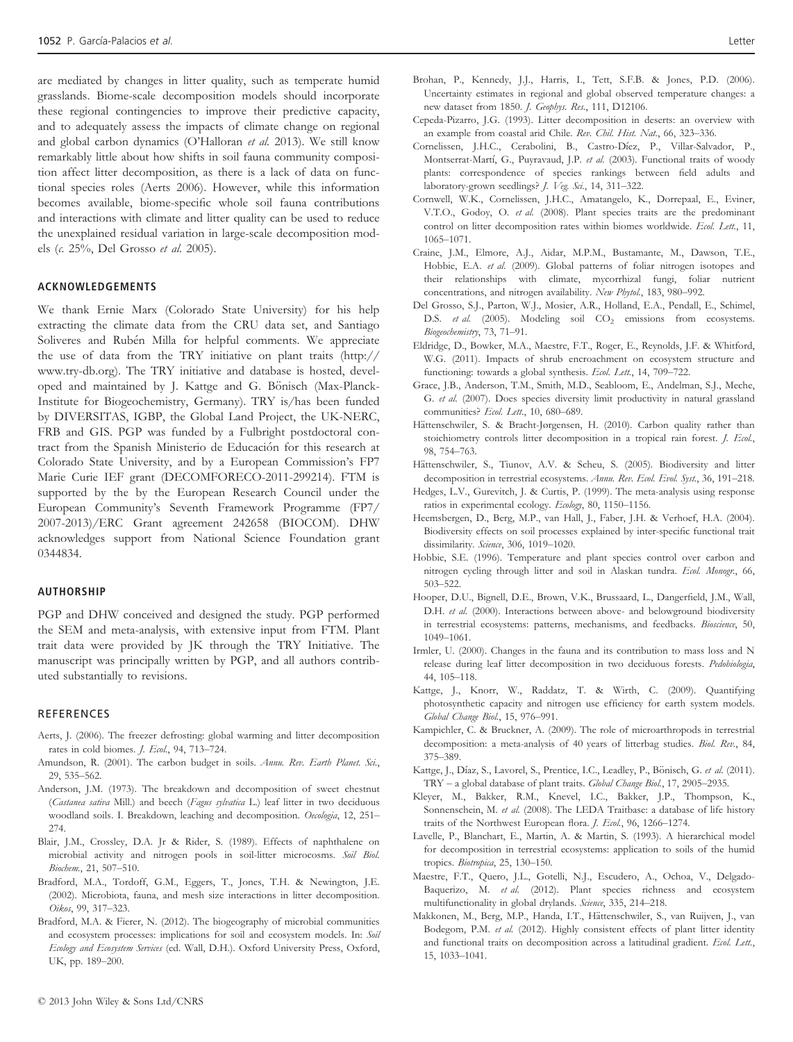are mediated by changes in litter quality, such as temperate humid grasslands. Biome-scale decomposition models should incorporate these regional contingencies to improve their predictive capacity, and to adequately assess the impacts of climate change on regional and global carbon dynamics (O'Halloran et al. 2013). We still know remarkably little about how shifts in soil fauna community composition affect litter decomposition, as there is a lack of data on functional species roles (Aerts 2006). However, while this information becomes available, biome-specific whole soil fauna contributions and interactions with climate and litter quality can be used to reduce the unexplained residual variation in large-scale decomposition models (c. 25%, Del Grosso et al. 2005).

#### ACKNOWLEDGEMENTS

We thank Ernie Marx (Colorado State University) for his help extracting the climate data from the CRU data set, and Santiago Soliveres and Rubén Milla for helpful comments. We appreciate the use of data from the TRY initiative on plant traits (http:// www.try-db.org). The TRY initiative and database is hosted, developed and maintained by J. Kattge and G. Bönisch (Max-Planck-Institute for Biogeochemistry, Germany). TRY is/has been funded by DIVERSITAS, IGBP, the Global Land Project, the UK-NERC, FRB and GIS. PGP was funded by a Fulbright postdoctoral contract from the Spanish Ministerio de Educacion for this research at Colorado State University, and by a European Commission's FP7 Marie Curie IEF grant (DECOMFORECO-2011-299214). FTM is supported by the by the European Research Council under the European Community's Seventh Framework Programme (FP7/ 2007-2013)/ERC Grant agreement 242658 (BIOCOM). DHW acknowledges support from National Science Foundation grant 0344834.

#### AUTHORSHIP

PGP and DHW conceived and designed the study. PGP performed the SEM and meta-analysis, with extensive input from FTM. Plant trait data were provided by JK through the TRY Initiative. The manuscript was principally written by PGP, and all authors contributed substantially to revisions.

#### **REFERENCES**

- Aerts, J. (2006). The freezer defrosting: global warming and litter decomposition rates in cold biomes. J. Ecol., 94, 713–724.
- Amundson, R. (2001). The carbon budget in soils. Annu. Rev. Earth Planet. Sci., 29, 535–562.
- Anderson, J.M. (1973). The breakdown and decomposition of sweet chestnut (Castanea sativa Mill.) and beech (Fagus sylvatica L.) leaf litter in two deciduous woodland soils. I. Breakdown, leaching and decomposition. Oecologia, 12, 251-274.
- Blair, J.M., Crossley, D.A. Jr & Rider, S. (1989). Effects of naphthalene on microbial activity and nitrogen pools in soil-litter microcosms. Soil Biol. Biochem., 21, 507–510.
- Bradford, M.A., Tordoff, G.M., Eggers, T., Jones, T.H. & Newington, J.E. (2002). Microbiota, fauna, and mesh size interactions in litter decomposition. Oikos, 99, 317–323.
- Bradford, M.A. & Fierer, N. (2012). The biogeography of microbial communities and ecosystem processes: implications for soil and ecosystem models. In: Soil Ecology and Ecosystem Services (ed. Wall, D.H.). Oxford University Press, Oxford, UK, pp. 189–200.
- Brohan, P., Kennedy, J.J., Harris, I., Tett, S.F.B. & Jones, P.D. (2006). Uncertainty estimates in regional and global observed temperature changes: a new dataset from 1850. J. Geophys. Res., 111, D12106.
- Cepeda-Pizarro, J.G. (1993). Litter decomposition in deserts: an overview with an example from coastal arid Chile. Rev. Chil. Hist. Nat., 66, 323–336.
- Cornelissen, J.H.C., Cerabolini, B., Castro-Díez, P., Villar-Salvador, P., Montserrat-Martí, G., Puyravaud, J.P. et al. (2003). Functional traits of woody plants: correspondence of species rankings between field adults and laboratory-grown seedlings? J. Veg. Sci., 14, 311-322.
- Cornwell, W.K., Cornelissen, J.H.C., Amatangelo, K., Dorrepaal, E., Eviner, V.T.O., Godoy, O. et al. (2008). Plant species traits are the predominant control on litter decomposition rates within biomes worldwide. Ecol. Lett., 11, 1065–1071.
- Craine, J.M., Elmore, A.J., Aidar, M.P.M., Bustamante, M., Dawson, T.E., Hobbie, E.A. et al. (2009). Global patterns of foliar nitrogen isotopes and their relationships with climate, mycorrhizal fungi, foliar nutrient concentrations, and nitrogen availability. New Phytol., 183, 980–992.
- Del Grosso, S.J., Parton, W.J., Mosier, A.R., Holland, E.A., Pendall, E., Schimel, D.S. et al. (2005). Modeling soil CO<sub>2</sub> emissions from ecosystems. Biogeochemistry, 73, 71–91.
- Eldridge, D., Bowker, M.A., Maestre, F.T., Roger, E., Reynolds, J.F. & Whitford, W.G. (2011). Impacts of shrub encroachment on ecosystem structure and functioning: towards a global synthesis. Ecol. Lett., 14, 709–722.
- Grace, J.B., Anderson, T.M., Smith, M.D., Seabloom, E., Andelman, S.J., Meche, G. et al. (2007). Does species diversity limit productivity in natural grassland communities? Ecol. Lett., 10, 680-689.
- Hättenschwiler, S. & Bracht-Jørgensen, H. (2010). Carbon quality rather than stoichiometry controls litter decomposition in a tropical rain forest. *J. Ecol.*, 98, 754–763.
- Hättenschwiler, S., Tiunov, A.V. & Scheu, S. (2005). Biodiversity and litter decomposition in terrestrial ecosystems. Annu. Rev. Ecol. Evol. Syst., 36, 191-218.
- Hedges, L.V., Gurevitch, J. & Curtis, P. (1999). The meta-analysis using response ratios in experimental ecology. Ecology, 80, 1150–1156.
- Heemsbergen, D., Berg, M.P., van Hall, J., Faber, J.H. & Verhoef, H.A. (2004). Biodiversity effects on soil processes explained by inter-specific functional trait dissimilarity. Science, 306, 1019-1020.
- Hobbie, S.E. (1996). Temperature and plant species control over carbon and nitrogen cycling through litter and soil in Alaskan tundra. Ecol. Monogr., 66, 503–522.
- Hooper, D.U., Bignell, D.E., Brown, V.K., Brussaard, L., Dangerfield, J.M., Wall, D.H. et al. (2000). Interactions between above- and belowground biodiversity in terrestrial ecosystems: patterns, mechanisms, and feedbacks. Bioscience, 50, 1049–1061.
- Irmler, U. (2000). Changes in the fauna and its contribution to mass loss and N release during leaf litter decomposition in two deciduous forests. Pedobiologia, 44, 105–118.
- Kattge, J., Knorr, W., Raddatz, T. & Wirth, C. (2009). Quantifying photosynthetic capacity and nitrogen use efficiency for earth system models. Global Change Biol., 15, 976–991.
- Kampichler, C. & Bruckner, A. (2009). The role of microarthropods in terrestrial decomposition: a meta-analysis of 40 years of litterbag studies. Biol. Rev., 84, 375–389.
- Kattge, J., Díaz, S., Lavorel, S., Prentice, I.C., Leadley, P., Bönisch, G. et al. (2011). TRY – a global database of plant traits. Global Change Biol., 17, 2905–2935.
- Kleyer, M., Bakker, R.M., Knevel, I.C., Bakker, J.P., Thompson, K., Sonnenschein, M. et al. (2008). The LEDA Traitbase: a database of life history traits of the Northwest European flora. J. Ecol., 96, 1266–1274.
- Lavelle, P., Blanchart, E., Martin, A. & Martin, S. (1993). A hierarchical model for decomposition in terrestrial ecosystems: application to soils of the humid tropics. Biotropica, 25, 130-150.
- Maestre, F.T., Quero, J.L., Gotelli, N.J., Escudero, A., Ochoa, V., Delgado-Baquerizo, M. et al. (2012). Plant species richness and ecosystem multifunctionality in global drylands. Science, 335, 214-218.
- Makkonen, M., Berg, M.P., Handa, I.T., Hättenschwiler, S., van Ruijven, J., van Bodegom, P.M. et al. (2012). Highly consistent effects of plant litter identity and functional traits on decomposition across a latitudinal gradient. Ecol. Lett., 15, 1033–1041.